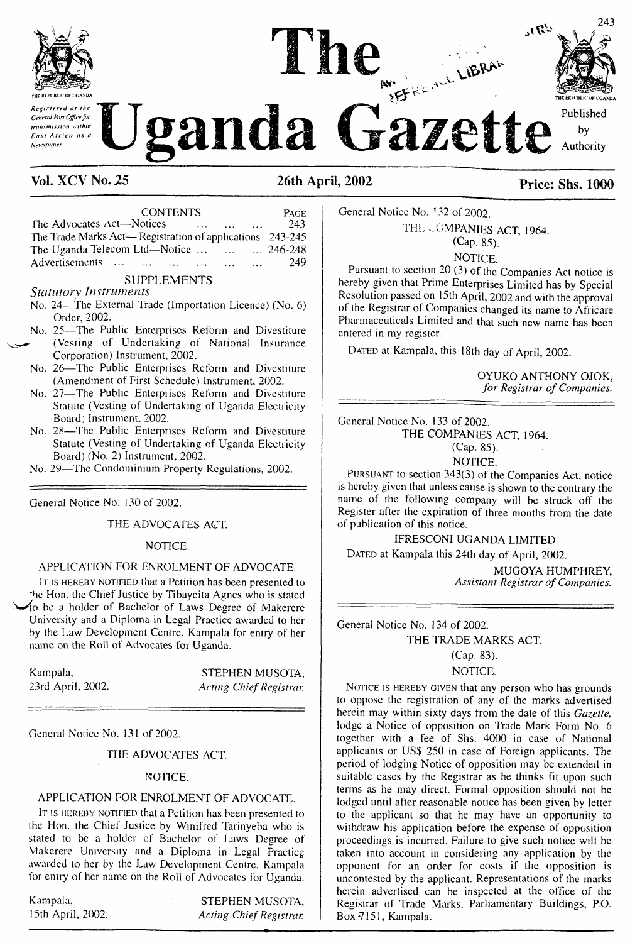

transmission within East Africa as a *Newspaper*

# *Contral discripes* on the **Uganda** Gazette **KEFREAK LIBRAH**

**The** 



Published

by Authority

# **Vol. XCVNo. 25 26th April, 2002 Price: Shs. 1000**

| <b>CONTENTS</b>                                               | <b>PAGE</b>                   |                 |                      |      |
|---------------------------------------------------------------|-------------------------------|-----------------|----------------------|------|
| The Advocates Act-Notices                                     | the company of the company of | <b>Contract</b> | $\sim$ $\sim$ $\sim$ | 243  |
| The Trade Marks Act—Registration of applications $243-245$    |                               |                 |                      |      |
| The Uganda Telecom Ltd—Notice $\dots$ $\dots$ $\dots$ 246-248 |                               |                 |                      |      |
| Advertisements                                                |                               |                 | $\sim$ $\sim$ $\sim$ | -249 |

#### **SUPPLEMENTS** *Statutory Instruments*

- No. 24—The External Trade (Importation Licence) (No. 6) Order, 2002.
- No. 25—The Public Enterprises Reform and Divestiture (Vesting of Undertaking of National Insurance Corporation) Instrument, 2002.
- No. 26—The Public Enterprises Reform and Divestiture (Amendment of First Schedule) Instrument, 2002.
- No. 27—The Public Enterprises Reform and Divestiture Statute (Vesting of Undertaking of Uganda Electricity Board) Instrument. 2002.
- No. 28—The Public Enterprises Reform and Divestiture Statute (Vesting of Undertaking of Uganda Electricity Board) (No. 2) Instrument, 2002.
- No. 29—The Condominium Property Regulations, 2002.

General Notice No. 130 of 2002.

THE ADVOCATES ACT.

## NOTICE.

## APPLICATION FOR ENROLMENT OF ADVOCATE.

IT IS HEREBY NOTIFIED that a Petition has been presented to the Hon. the Chief Justice by Tibaycita Agnes who is stated to be a holder of Bachelor of Laws Degree of Makercre University and a Diploma in Legal Practice awarded to her by the Law Development Centre, Kampala for entry of her name on the Roll of Advocates for Uganda.

| Kampala,          | STEPHEN MUSOTA,         |
|-------------------|-------------------------|
| 23rd April, 2002. | Acting Chief Registrar. |

General Notice No. 131 of 2002.

## THE ADVOCATES ACT.

## NOTICE.

## APPLICATION FOR ENROLMENT OF ADVOCATE.

IT IS HEREBY NOTIFIED that a Petition has been presented to the Hon. the Chief Justice by Winifred Tarinyeba who is stated to be a holder of Bachelor of Laws Degree of Makerere University and a Diploma in Legal Practicg awarded to her by the Law Development Centre, Kampala for entry of her name on the Roll of Advocates for Uganda.

Kampala, 15th April, 2002.

STEPHEN MUSOTA, *Acting Chief Registrar.* General Notice No. 132 of 2002. THE COMPANIES ACT, 1964. (Cap. 85).

NOTICE.

Pursuant to section 20 (3) of the Companies Act notice is hereby given that Prime Enterprises Limited has by Special Resolution passed on 15th April, 2002 and with the approval of the Registrar of Companies changed its name to Africare Pharmaceuticals Limited and that such new name has been entered in my register.

DATED at Kampala, this 18th day of April, 2002.

OYUKO ANTHONY OJOK, *for Registrar ofCompanies.*

General Notice No. 133 of 2002. THE COMPANIES ACT, 1964. (Cap. 85).

NOTICE.

Pursuant to section 343(3) of the Companies Act, notice is hereby given that unless cause is shown to the contrary the name of the following company will be struck off the Register after the expiration of three months from the date of publication of this notice.

# IFRESCONI UGANDA LIMITED

DATED at Kampala this 24th day of April, 2002.

MUGOYA HUMPHREY, *Assistant Registrar ofCompanies.*

General Notice No. 134 of 2002. THE TRADE MARKS ACT.

(Cap. 83).

## NOTICE.

NOTICE IS HEREBY GIVEN that any person who has grounds to oppose the registration of any of the marks advertised herein may within sixty days from the date of this *Gazette,* lodge a Notice of opposition on Trade Mark Form No. 6 together with a fee of Shs. 4000 in case of National applicants or US\$ 250 in case of Foreign applicants. The period of lodging Notice of opposition may be extended in suitable cases by the Registrar as he thinks fit upon such terms as he may direct. Formal opposition should not be lodged until after reasonable notice has been given by letter to the applicant so that he may have an opportunity to withdraw his application before the expense of opposition proceedings is incurred. Failure to give such notice will be taken into account in considering any application by the opponent for an order for costs if the opposition is uncontested by the applicant. Representations of the marks herein advertised can be inspected at the office of the Registrar of Trade Marks, Parliamentary Buildings, P.O. Box 7151, Kampala.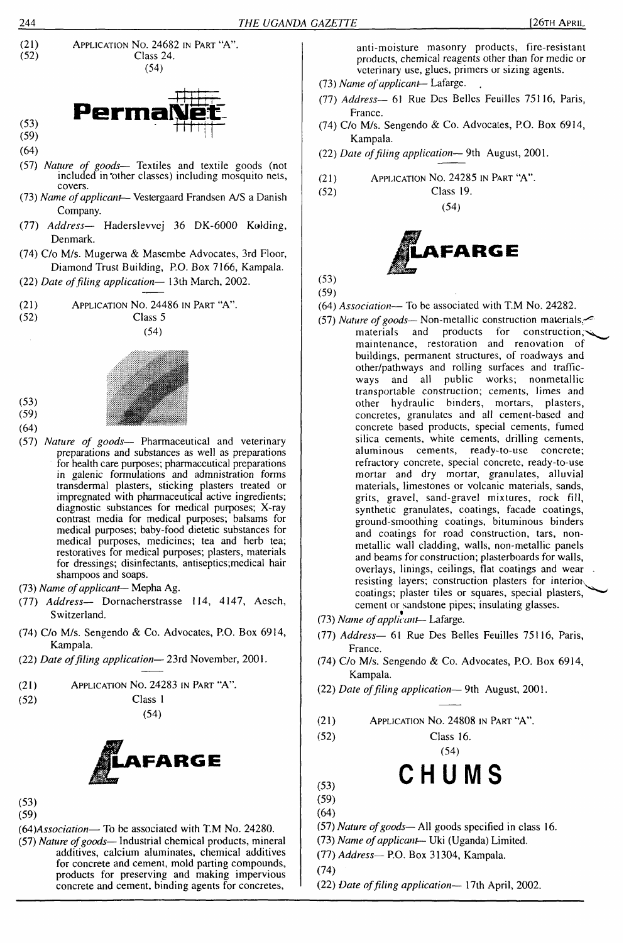



(59) (64)

(53)

- (57) *Nature of goods* Textiles and textile goods (not included in'other classes) including mosquito nets, covers.
- (73) *Name ofapplicant* Vestergaard Frandsen A/S a Danish Company.
- (77) *Address—* Haderslevvej 36 DK-6000 Kolding, Denmark.
- (74) C/o M/s. Mugerwa & Masembe Advocates, 3rd Floor, Diamond Trust Building, P.O. Box 7166, Kampala.
- (22) *Date offiling application—* <sup>1</sup>3th March, 2002.
- (21) Application No. 24486 in Part "A".



(54)



(59) (64)

(53)

- (57) *Nature of goods—* Pharmaceutical and veterinary preparations and substances as well as preparations for health care purposes; pharmaceutical preparations in galenic formulations and admnistration forms transdermal plasters, sticking plasters treated or impregnated with pharmaceutical active ingredients; diagnostic substances for medical purposes; X-ray contrast media for medical purposes; balsams for medical purposes; baby-food dietetic substances for medical purposes, medicines; tea and herb tea; restoratives for medical purposes; plasters, materials for dressings; disinfectants, antiseptics;medical hair shampoos and soaps.
- (73) *Name ofapplicant-* Mepha Ag.
- (77) *Address—* Dornacherstrasse 114, 4147, Acsch, Switzerland.
- (74) C/o M/s. Sengendo & Co. Advocates, P.O. Box 6914, Kampala.
- (22) *Date offiling application—* 23rd November, 2001.
- (21) Application No. 24283 in Part "A".
- (52) Class <sup>1</sup>
	- (54)



- (53)
- (59)
- (64*)Association—* To be associated with T.M No. 24280.
- (57) *Nature ofgoods* Industrial chemical products, mineral additives, calcium aluminates, chemical additives for concrete and cement, mold parting compounds, products for preserving and making impervious concrete and cement, binding agents for concretes,

anti-moisture masonry products, fire-resistant products, chemical reagents other than for medic or veterinary use, glues, primers or sizing agents.

- (73) *Name ofapplicant—* Lafarge.
- (77) *Address—* 61 Rue Des Belles Feuilles 75116, Paris, France.
- (74) C/o M/s. Sengendo & Co. Advocates, P.O. Box 6914, Kampala.
- (22) *Date offiling application—* 9th August, 2001.
- (21) Application No. 24285 in Part "A".
- (52) Class 19. (54)



(53) (59)

- (64) *Association—* To be associated with T.M No. 24282.
- (57) *Nature of goods* Non-metallic construction materials<br>materials and products for construction, products for construction, maintenance, restoration and renovation of buildings, permanent structures, of roadways and other/pathways and rolling surfaces and trafficways and all public works; nonmetallic transportable construction; cements, limes and other hydraulic binders, mortars, plasters, concretes, granulates and all cement-based and concrete based products, special cements, fumed silica cements, white cements, drilling cements, aluminous cements, ready-to-use concrete; refractory concrete, special concrete, ready-to-use mortar and dry mortar, granulates, alluvial materials, limestones or volcanic materials, sands, grits, gravel, sand-gravel mixtures, rock fill, synthetic granulates, coatings, facade coatings, ground-smoothing coatings, bituminous binders and coatings for road construction, tars, nonmetallic wall cladding, walls, non-metallic panels and beams for construction; plasterboards for walls, overlays, linings, ceilings, flat coatings and wear resisting layers; construction plasters for interior. coatings; plaster tiles or squares, special plasters, cement or sandstone pipes; insulating glasses.
- (73) *Name ofapplicant—* Lafarge.
- (77) *Address—* 61 Rue Des Belles Feuilles 75116, Paris, France.
- (74) C/o M/s. Sengendo & Co. Advocates, P.O. Box 6914, Kampala.
- (22) *Date offiling application—* 9th August, 2001.
- (21) Application No. 24808 in Part "A".
- (52) Class 16.

(54)

# **CHUMS**

- $(53)$ (59) (64)
- (57) *Nature ofgoods—*All goods specified in class 16.
- (73) *Name ofapplicant—* Uki (Uganda) Limited.
- (77) *Address—* P.O. Box 31304, Kampala.

(74)

(22) *Date offiling application—* 17th April, 2002.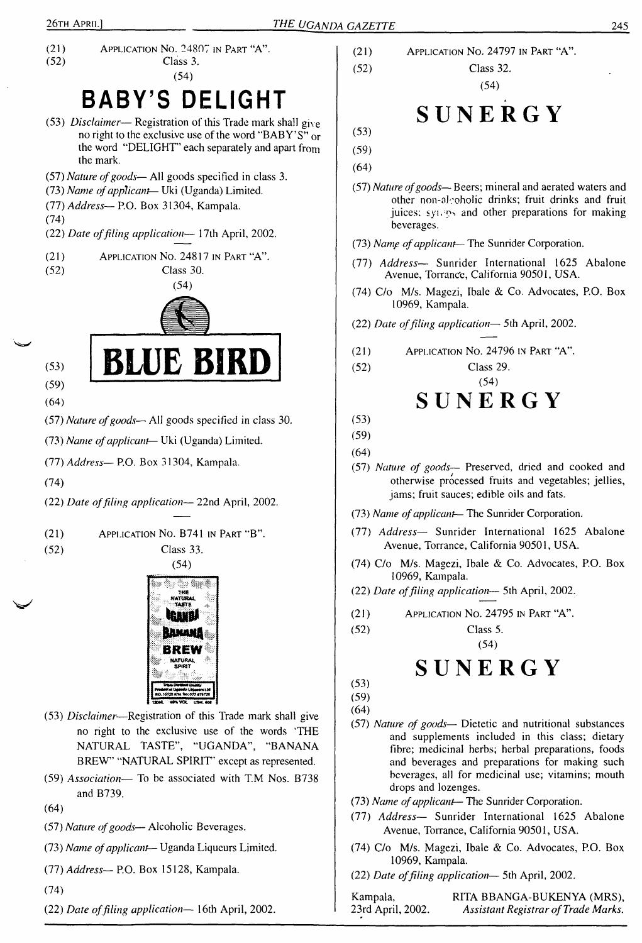(21) Application No. 24807 in Part "A".<br>(52) Class 3. Class 3. (54)

# **BABY'<sup>S</sup> DELIGHT**

- (53) *Disclaimer* Registration of this Trade mark shall gix e no right to the exclusive use of the word "BABY'S" or the word "DELIGHT' each separately and apart from the mark.
- (57) *Nature ofgoods—* All goods specified in class 3.
- (73) *Name ofapplicant—* Uki (Uganda) Limited.
- (77) *Address—* P.O. Box 31304, Kampala.
- (74)
- (22) *Date offiling application—* 17th April, 2002.
- (21) (52) Application No. 24817 in Part "A". Class 30.



BLUE BIRD

- (53)
- (59)
- (64)
- (57) *Nature ofgoods* All goods specified in class 30.
- (73) *Name ofapplicant-* Uki (Uganda) Limited.
- (77) *Address—* P.O. Box 31304, Kampala.
- (74)

(22) *Date offiling application—* 22nd April, 2002.

- (21) Application No. B741 in Part "B".
- 

(52) Class 33. (54)



- (53) *Disclaimer*—Registration of this Trade mark shall give no right to the exclusive use of the words 'THE NATURAL TASTE", "UGANDA", "BANANA BREW" "NATURAL SPIRIT' except as represented.
- (59) *Association—* To be associated with T.M Nos. B738 and B739.
- (64)
- (57) *Nature ofgoods—* Alcoholic Beverages.
- (73) *Name ofapplicant-* Uganda Liqueurs Limited.
- (77) *Address—* P.O. Box <sup>1</sup>5128, Kampala.
- (74)
- (22) *Date offiling application—* 16th April, 2002.
- (21) Application No. 24797 in Part "A". (52) Class 32.
	- (54)

# **SUNERGY**

- (53) (59)
- (64)
- (57) *Nature ofgoods—* Beers; mineral and aerated waters and other non-alcoholic drinks; fruit drinks and fruit juices; syneps and other preparations for making beverages.
- (73) *Namp ofapplicant-* The Sunrider Corporation.
- (77) *Address—* Sunrider International 1625 Abalone Avenue, Torrance, California 90501, USA.
- (74) C/o M/s. Magezi, Ibale & Co. Advocates, P.O. Box 10969, Kampala.
- (22) *Date offiling application—* 5th April, 2002.
- (21) Application No. 24796 in Part "A".
- (52) Class 29.

# (54) **SUNERGY**

- (53)
- (59)
- (64)
- (57) *Nature of goods* Preserved, dried and cooked and otherwise processed fruits and vegetables; jellies, jams; fruit sauces; edible oils and fats.
- (73) *Name ofapplicant—* The Sunrider Corporation.
- (77) *Address—* Sunrider International 1625 Abalone Avenue, Torrance, California 90501, USA.
- (74) C/o M/s. Magezi, Ibale & Co. Advocates, P.O. Box 10969, Kampala.
- (22) *Date offding application—* 5th April, 2002.
- (21) Application No. 24795 in Part "A".

(52) Class 5.

(54)

# **SUNERGY**

- (53) (59)
- (64)
- (57) *Nature of goods* Dietetic and nutritional substances and supplements included in this class; dietary fibre; medicinal herbs; herbal preparations, foods and beverages and preparations for making such beverages, all for medicinal use; vitamins; mouth drops and lozenges.
- (73) *Name ofapplicant-* The Sunrider Corporation.
- (77) *Address—* Sunrider International 1625 Abalone Avenue, Torrance, California 90501, USA.
- (74) C/o M/s. Magezi, Ibale & Co. Advocates, P.O. Box 10969, Kampala.
- (22) *Date offding application—* 5th April, 2002.

Kampala, RITA BBANGA-BUKENYA (MRS),<br>23rd April, 2002. Assistant Registrar of Trade Marks. 23rd April, 2002. *Assistant Registrar ofTrade Marks.*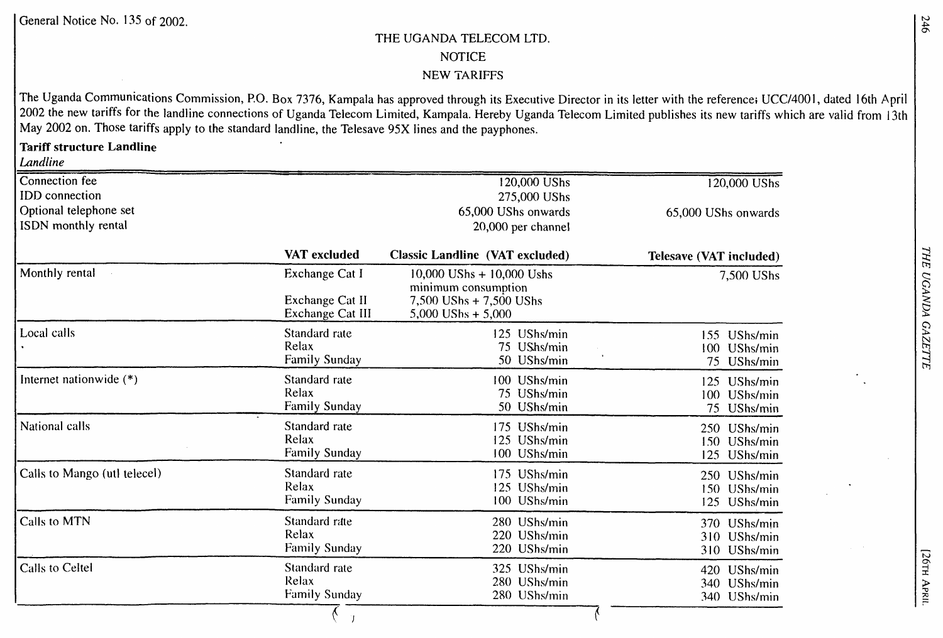# **THE UGANDA TELECOM LTD. NOTICE NEW TARIFFS**

The Uganda Communications Commission, P.O. Box 7376, Kampala has approved through its Executive Director in its letter with the reference; UCC/4001, dated 16th April 2002 the new tariffs for the landline connections of Uganda Telecom Limited, Kampala. Hereby Uganda Telecom Limited publishes its new tariffs which are valid from 13th **May 2002 on. Those tariffs apply to the standard landline, the Telesave 95X lines and the payphones.**

# **Tariff structure Landline**

*Landline*

| Connection fee               |                                     | 120,000 UShs                                         | 120,000 UShs                   |
|------------------------------|-------------------------------------|------------------------------------------------------|--------------------------------|
| <b>IDD</b> connection        |                                     | 275,000 UShs                                         |                                |
| Optional telephone set       |                                     | 65,000 UShs onwards                                  | 65,000 UShs onwards            |
| ISDN monthly rental          |                                     | 20,000 per channel                                   |                                |
|                              | VAT excluded                        | <b>Classic Landline (VAT excluded)</b>               | <b>Telesave (VAT included)</b> |
| Monthly rental               | Exchange Cat I                      | $10,000$ UShs + $10,000$ Ushs<br>minimum consumption | 7,500 UShs                     |
|                              | Exchange Cat II<br>Exchange Cat III | 7,500 UShs + 7,500 UShs<br>5,000 UShs $+ 5,000$      |                                |
| Local calls                  | Standard rate                       | 125 UShs/min                                         | 155 UShs/min                   |
|                              | Relax                               | 75 UShs/min                                          | UShs/min<br>$100 -$            |
|                              | Family Sunday                       | 50 UShs/min                                          | 75<br>UShs/min                 |
| Internet nationwide (*)      | Standard rate                       | 100 UShs/min                                         | 125 UShs/min                   |
|                              | Relax                               | 75 UShs/min                                          | 100 UShs/min                   |
|                              | Family Sunday                       | 50 UShs/min                                          | 75 UShs/min                    |
| National calls               | Standard rate                       | 175 UShs/min                                         | 250 UShs/min                   |
|                              | Relax                               | 125 UShs/min                                         | 150 UShs/min                   |
|                              | <b>Family Sunday</b>                | 100 UShs/min                                         | 125 UShs/min                   |
| Calls to Mango (utl telecel) | Standard rate                       | 175 UShs/min                                         | 250 UShs/min                   |
|                              | Relax                               | 125 UShs/min                                         | 150 UShs/min                   |
|                              | Family Sunday                       | 100 UShs/min                                         | 125 UShs/min                   |
| Calls to MTN                 | Standard rate                       | 280 UShs/min                                         | 370 UShs/min                   |
|                              | Relax                               | 220 UShs/min                                         | 310 UShs/min                   |
|                              | <b>Family Sunday</b>                | 220 UShs/min                                         | 310 UShs/min                   |
| Calls to Celtel              | Standard rate                       | 325 UShs/min                                         | 420 UShs/min                   |
|                              | Relax                               | 280 UShs/min                                         | 340 UShs/min                   |
|                              | <b>Family Sunday</b>                | 280 UShs/min                                         | 340 UShs/min                   |
|                              |                                     |                                                      |                                |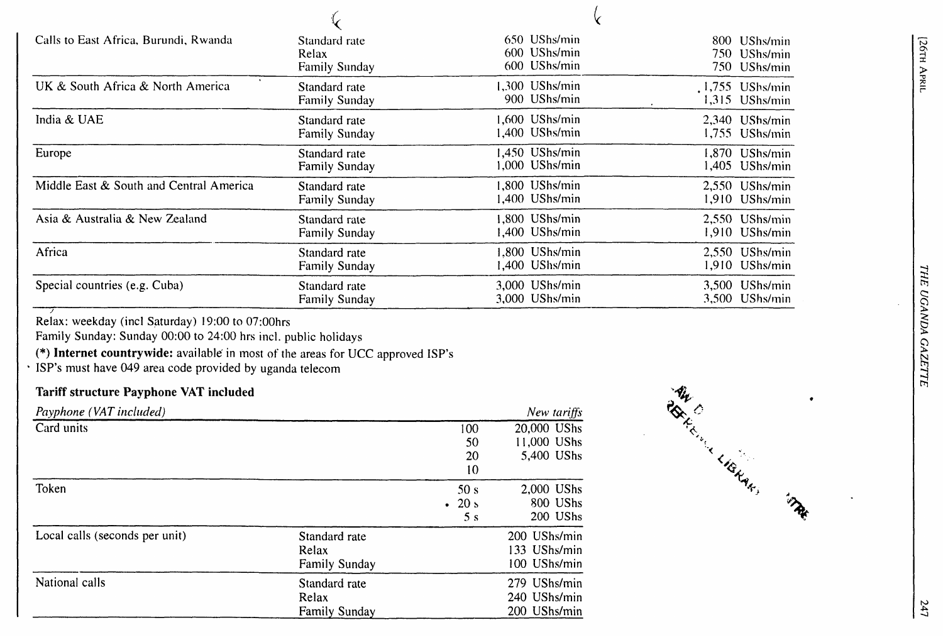| Calls to East Africa, Burundi, Rwanda   | Standard rate<br>Relax<br>Family Sunday | 650 UShs/min<br>600 UShs/min<br>600 UShs/min | 800 UShs/min<br>750-<br>UShs/min<br>750 UShs/min |
|-----------------------------------------|-----------------------------------------|----------------------------------------------|--------------------------------------------------|
| UK & South Africa & North America       | Standard rate<br><b>Family Sunday</b>   | 1,300 UShs/min<br>900 UShs/min               | .1,755 UShs/min<br>1,315 UShs/min                |
| India & UAE                             | Standard rate<br>Family Sunday          | 1,600 UShs/min<br>1.400 UShs/min             | 2,340 UShs/min<br>1,755<br>UShs/min              |
| Europe                                  | Standard rate<br>Family Sunday          | 1,450 UShs/min<br>.000 UShs/min              | 1,870 UShs/min<br>1,405<br>UShs/min              |
| Middle East & South and Central America | Standard rate<br>Family Sunday          | 1,800 UShs/min<br>.400 UShs/min              | 2,550 UShs/min<br>1,910 UShs/min                 |
| Asia & Australia & New Zealand          | Standard rate<br><b>Family Sunday</b>   | .800 UShs/min<br>1,400 UShs/min              | $2,550$ UShs/min<br>1,910<br>UShs/min            |
| Africa                                  | Standard rate<br><b>Family Sunday</b>   | .800 UShs/min<br>1,400 UShs/min              | 2,550 UShs/min<br>1,910<br>UShs/min              |
| Special countries (e.g. Cuba)           | Standard rate<br><b>Family Sunday</b>   | 3,000 UShs/min<br>3,000 UShs/min             | UShs/min<br>3,500<br>UShs/min<br>3,500           |

**Relax: weekday (incl Saturday) 19:00 to 07:00hrs**

**Family Sunday: Sunday 00:00 to 24:00 hrs incl. public holidays**

**(\*) Internet countrywide: available' in most of the: areas for UCC approved ISP's**

**ISP's must have 049 area code provided by Uganda telecom**

# **Tariff structure Payphone VAT included**

| Payphone (VAT included)        |                      |                | New tariffs  | <b>RG</b> |
|--------------------------------|----------------------|----------------|--------------|-----------|
| Card units                     |                      | 100            | 20,000 UShs  |           |
|                                |                      | 50             | 11,000 UShs  |           |
|                                |                      | 20             | 5,400 UShs   |           |
|                                |                      | 10             |              | LIGHAR !  |
| Token                          |                      | 50 s           | 2,000 UShs   |           |
|                                |                      | $\cdot$ 20 s   | 800 UShs     |           |
|                                |                      | 5 <sub>s</sub> | 200 UShs     |           |
| Local calls (seconds per unit) | Standard rate        |                | 200 UShs/min |           |
|                                | Relax                |                | 133 UShs/min |           |
|                                | <b>Family Sunday</b> |                | 100 UShs/min |           |
| National calls                 | Standard rate        |                | 279 UShs/min |           |
|                                | Relax                |                | 240 UShs/min |           |
|                                | <b>Family Sunday</b> |                | 200 UShs/min |           |

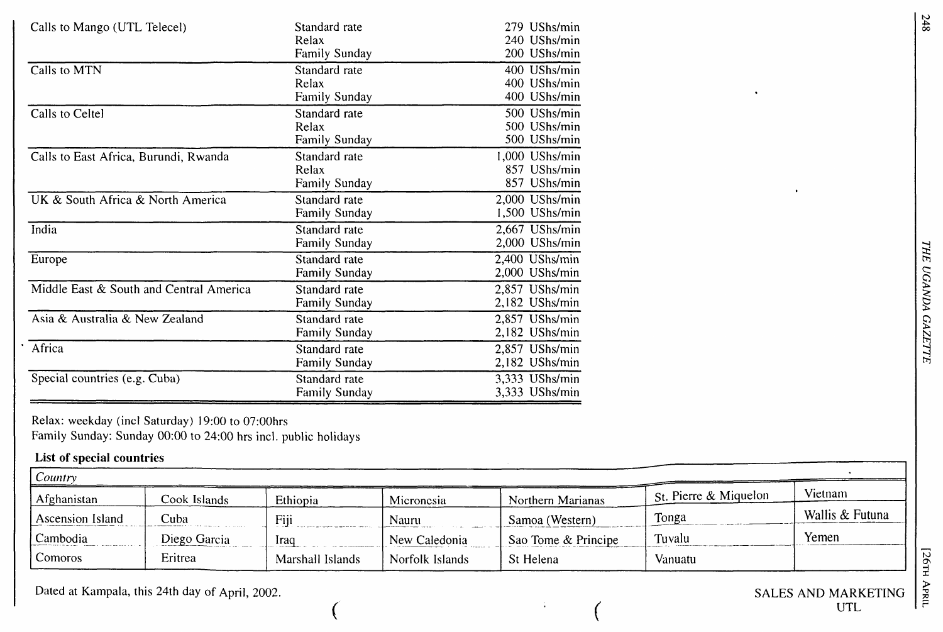| Calls to Mango (UTL Telecel)            | Standard rate<br>Relax<br><b>Family Sunday</b> | 279 UShs/min<br>240 UShs/min<br>200 UShs/min   |
|-----------------------------------------|------------------------------------------------|------------------------------------------------|
| Calls to MTN                            | Standard rate<br>Relax<br><b>Family Sunday</b> | 400 UShs/min<br>400 UShs/min<br>400 UShs/min   |
| Calls to Celtel                         | Standard rate<br>Relax<br>Family Sunday        | 500 UShs/min<br>500 UShs/min<br>500 UShs/min   |
| Calls to East Africa, Burundi, Rwanda   | Standard rate<br>Relax<br><b>Family Sunday</b> | 1,000 UShs/min<br>857 UShs/min<br>857 UShs/min |
| UK & South Africa & North America       | Standard rate<br><b>Family Sunday</b>          | 2,000 UShs/min<br>1,500 UShs/min               |
| India                                   | Standard rate<br><b>Family Sunday</b>          | 2,667 UShs/min<br>2,000 UShs/min               |
| Europe                                  | Standard rate<br><b>Family Sunday</b>          | $2,400$ UShs/min<br>2,000 UShs/min             |
| Middle East & South and Central America | Standard rate<br>Family Sunday                 | 2,857 UShs/min<br>2,182 UShs/min               |
| Asia & Australia & New Zealand          | Standard rate<br><b>Family Sunday</b>          | 2,857 UShs/min<br>2,182 UShs/min               |
| Africa                                  | Standard rate<br>Family Sunday                 | 2,857 UShs/min<br>2,182 UShs/min               |
| Special countries (e.g. Cuba)           | Standard rate<br><b>Family Sunday</b>          | 3,333 UShs/min<br>3,333 UShs/min               |

**Relax: weekday (incl Saturday) 19:00 to 07:00hrs Family Sunday: Sunday 00:00 to 24:00 hrs incl. public holidays**

# **List of special countries**

| Country          |              |                  |                 |                     |                                     |                 |
|------------------|--------------|------------------|-----------------|---------------------|-------------------------------------|-----------------|
| Afghanistan      | Cook Islands | Ethiopia         | Micronesia      | Northern Marianas   | $\frac{1}{2}$ St. Pierre & Miquelon | Vietnam         |
| Ascension Island | Cuba         | Fiii             | Nauru           | Samoa (Western)     | Tonga                               | Wallis & Futuna |
| Cambodia         | Diego Garcia | Iraq             | New Caledonia   | Sao Tome & Principe | Tuvalu                              | Yemen           |
| Comoros          | Eritrea      | Marshall Islands | Norfolk Islands | St Helena           | Vanuatu                             |                 |

**Dated at Kampala, this 24th day of April, 2002. SALES AND MARKETING**

 $\bullet$ 

248